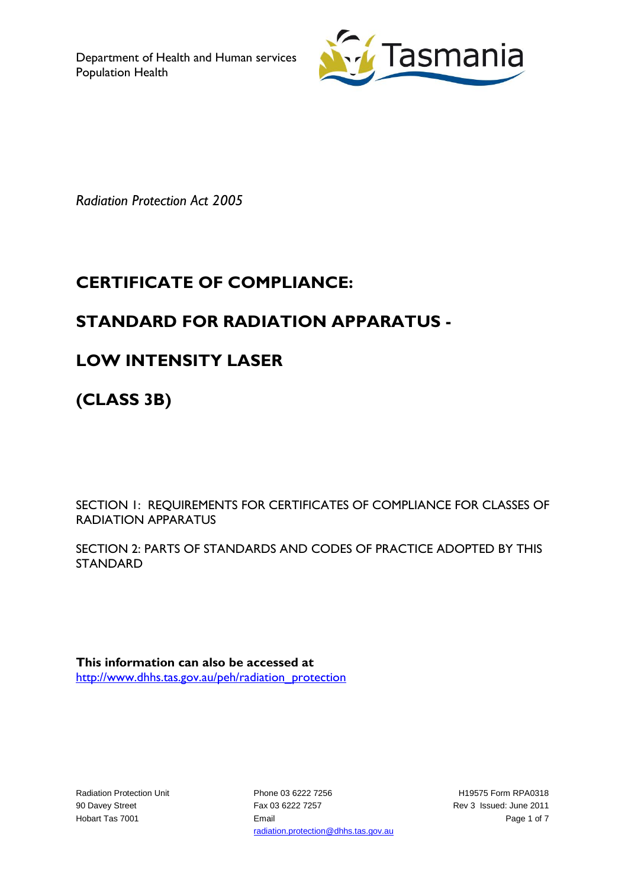

*Radiation Protection Act 2005*

# **CERTIFICATE OF COMPLIANCE:**

## **STANDARD FOR RADIATION APPARATUS -**

### **LOW INTENSITY LASER**

**(CLASS 3B)**

SECTION 1: REQUIREMENTS FOR CERTIFICATES OF COMPLIANCE FOR CLASSES OF RADIATION APPARATUS

SECTION 2: PARTS OF STANDARDS AND CODES OF PRACTICE ADOPTED BY THIS STANDARD

**This information can also be accessed at** [http://www.dhhs.tas.gov.au/peh/radiation\\_protection](http://www.dhhs.tas.gov.au/peh/radiation_protection)

Radiation Protection Unit 90 Davey Street Hobart Tas 7001

Phone 03 6222 7256 Fax 03 6222 7257 Email radiation.protection@dhhs.tas.gov.au

H19575 Form RPA0318 Rev 3 Issued: June 2011 Page 1 of 7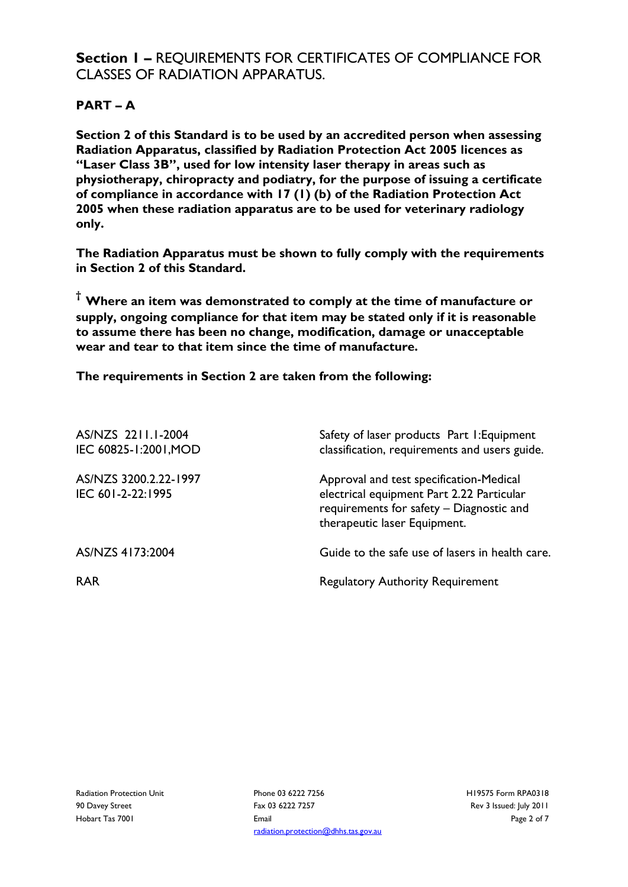### **Section 1 –** REQUIREMENTS FOR CERTIFICATES OF COMPLIANCE FOR CLASSES OF RADIATION APPARATUS.

#### **PART – A**

**Section 2 of this Standard is to be used by an accredited person when assessing Radiation Apparatus, classified by Radiation Protection Act 2005 licences as "Laser Class 3B", used for low intensity laser therapy in areas such as physiotherapy, chiropracty and podiatry, for the purpose of issuing a certificate of compliance in accordance with 17 (1) (b) of the Radiation Protection Act 2005 when these radiation apparatus are to be used for veterinary radiology only.**

**The Radiation Apparatus must be shown to fully comply with the requirements in Section 2 of this Standard.**

**† Where an item was demonstrated to comply at the time of manufacture or supply, ongoing compliance for that item may be stated only if it is reasonable to assume there has been no change, modification, damage or unacceptable wear and tear to that item since the time of manufacture.** 

**The requirements in Section 2 are taken from the following:**

| AS/NZS 2211.1-2004<br>IEC 60825-1:2001, MOD | Safety of laser products Part I: Equipment<br>classification, requirements and users guide.                                                                      |
|---------------------------------------------|------------------------------------------------------------------------------------------------------------------------------------------------------------------|
| AS/NZS 3200.2.22-1997<br>IEC 601-2-22:1995  | Approval and test specification-Medical<br>electrical equipment Part 2.22 Particular<br>requirements for safety - Diagnostic and<br>therapeutic laser Equipment. |
| AS/NZS 4173:2004                            | Guide to the safe use of lasers in health care.                                                                                                                  |
| <b>RAR</b>                                  | <b>Regulatory Authority Requirement</b>                                                                                                                          |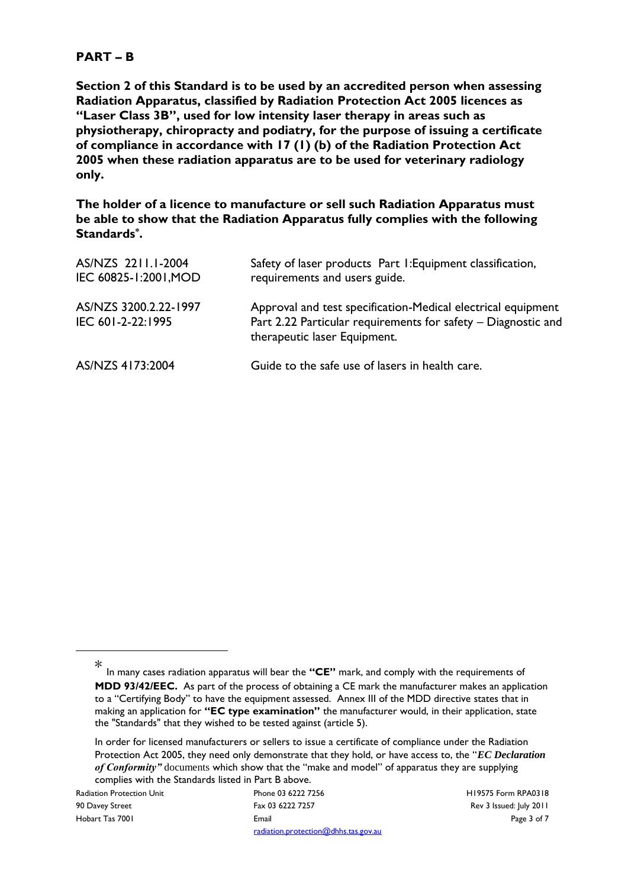#### **PART – B**

**Section 2 of this Standard is to be used by an accredited person when assessing Radiation Apparatus, classified by Radiation Protection Act 2005 licences as "Laser Class 3B", used for low intensity laser therapy in areas such as physiotherapy, chiropracty and podiatry, for the purpose of issuing a certificate of compliance in accordance with 17 (1) (b) of the Radiation Protection Act 2005 when these radiation apparatus are to be used for veterinary radiology only.**

**The holder of a licence to manufacture or sell such Radiation Apparatus must be able to show that the Radiation Apparatus fully complies with the following Standards\* .**

| AS/NZS 2211.1-2004<br>IEC 60825-1:2001, MOD | Safety of laser products Part I: Equipment classification,<br>requirements and users guide.                                                                   |
|---------------------------------------------|---------------------------------------------------------------------------------------------------------------------------------------------------------------|
| AS/NZS 3200.2.22-1997<br>IEC 601-2-22:1995  | Approval and test specification-Medical electrical equipment<br>Part 2.22 Particular requirements for safety - Diagnostic and<br>therapeutic laser Equipment. |
| AS/NZS 4173:2004                            | Guide to the safe use of lasers in health care.                                                                                                               |

1

Radiation Protection Unit 90 Davey Street Hobart Tas 7001

Phone 03 6222 7256 Fax 03 6222 7257 Email radiation.protection@dhhs.tas.gov.au H19575 Form RPA0318 Rev 3 Issued: July 2011 Page 3 of 7

<sup>\*</sup> In many cases radiation apparatus will bear the **"CE"** mark, and comply with the requirements of **MDD 93/42/EEC.** As part of the process of obtaining a CE mark the manufacturer makes an application to a "Certifying Body" to have the equipment assessed. Annex III of the MDD directive states that in making an application for **"EC type examination"** the manufacturer would, in their application, state the "Standards" that they wished to be tested against (article 5).

In order for licensed manufacturers or sellers to issue a certificate of compliance under the Radiation Protection Act 2005, they need only demonstrate that they hold, or have access to, the "*EC Declaration of Conformity"* documents which show that the "make and model" of apparatus they are supplying complies with the Standards listed in Part B above.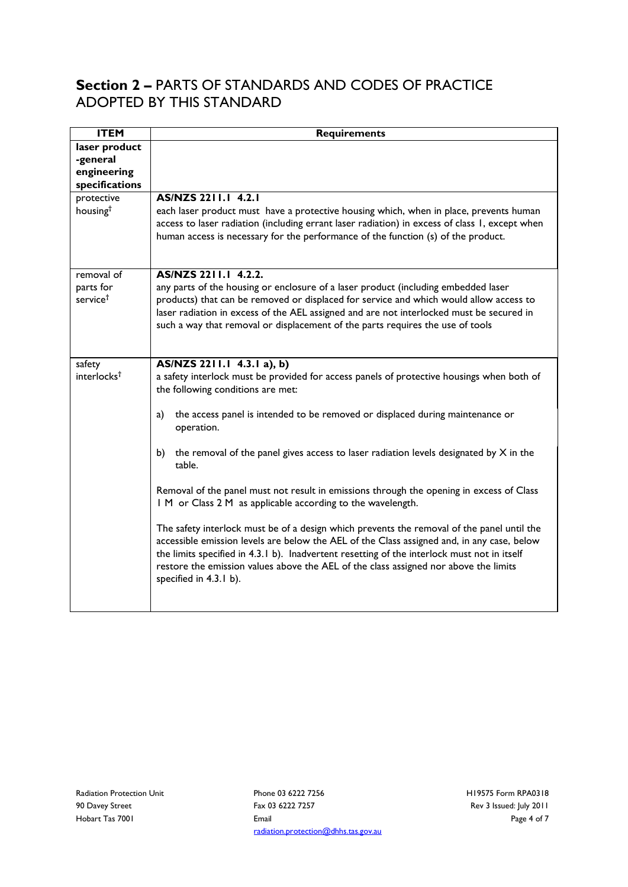### **Section 2 –** PARTS OF STANDARDS AND CODES OF PRACTICE ADOPTED BY THIS STANDARD

| <b>ITEM</b>                                                              | <b>Requirements</b>                                                                                                                                                                                                                                                                                                                                                                                                                                                                                                                                                                                                                                                                                                                                                                                                                                                                                                                                   |
|--------------------------------------------------------------------------|-------------------------------------------------------------------------------------------------------------------------------------------------------------------------------------------------------------------------------------------------------------------------------------------------------------------------------------------------------------------------------------------------------------------------------------------------------------------------------------------------------------------------------------------------------------------------------------------------------------------------------------------------------------------------------------------------------------------------------------------------------------------------------------------------------------------------------------------------------------------------------------------------------------------------------------------------------|
| laser product<br>-general<br>engineering<br>specifications<br>protective | AS/NZS 2211.1 4.2.1                                                                                                                                                                                                                                                                                                                                                                                                                                                                                                                                                                                                                                                                                                                                                                                                                                                                                                                                   |
| housing <sup>t</sup>                                                     | each laser product must have a protective housing which, when in place, prevents human<br>access to laser radiation (including errant laser radiation) in excess of class 1, except when<br>human access is necessary for the performance of the function (s) of the product.                                                                                                                                                                                                                                                                                                                                                                                                                                                                                                                                                                                                                                                                         |
| removal of<br>parts for<br>service <sup>t</sup>                          | AS/NZS 2211.1 4.2.2.<br>any parts of the housing or enclosure of a laser product (including embedded laser<br>products) that can be removed or displaced for service and which would allow access to<br>laser radiation in excess of the AEL assigned and are not interlocked must be secured in<br>such a way that removal or displacement of the parts requires the use of tools                                                                                                                                                                                                                                                                                                                                                                                                                                                                                                                                                                    |
| safety<br>interlocks <sup>†</sup>                                        | AS/NZS 2211.1 4.3.1 a), b)<br>a safety interlock must be provided for access panels of protective housings when both of<br>the following conditions are met:<br>the access panel is intended to be removed or displaced during maintenance or<br>a)<br>operation.<br>the removal of the panel gives access to laser radiation levels designated by $X$ in the<br>b)<br>table.<br>Removal of the panel must not result in emissions through the opening in excess of Class<br>I M or Class 2 M as applicable according to the wavelength.<br>The safety interlock must be of a design which prevents the removal of the panel until the<br>accessible emission levels are below the AEL of the Class assigned and, in any case, below<br>the limits specified in 4.3.1 b). Inadvertent resetting of the interlock must not in itself<br>restore the emission values above the AEL of the class assigned nor above the limits<br>specified in 4.3.1 b). |

Phone 03 6222 7256 Fax 03 6222 7257 Email radiation.protection@dhhs.tas.gov.au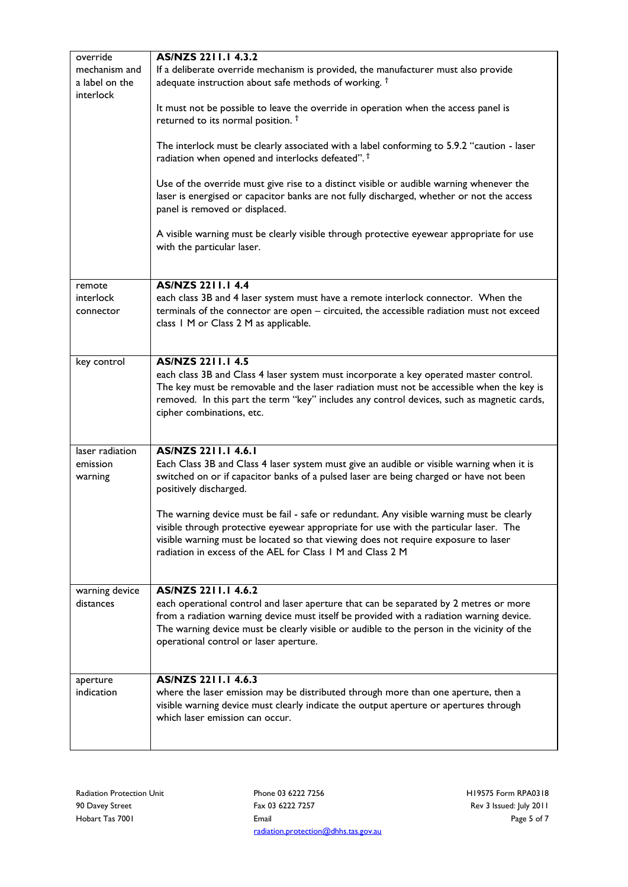| override                                     | AS/NZS 2211.1 4.3.2                                                                                                                                                                                                                                                                                                                              |
|----------------------------------------------|--------------------------------------------------------------------------------------------------------------------------------------------------------------------------------------------------------------------------------------------------------------------------------------------------------------------------------------------------|
| mechanism and<br>a label on the<br>interlock | If a deliberate override mechanism is provided, the manufacturer must also provide<br>adequate instruction about safe methods of working. <sup>†</sup>                                                                                                                                                                                           |
|                                              | It must not be possible to leave the override in operation when the access panel is<br>returned to its normal position. <sup>†</sup>                                                                                                                                                                                                             |
|                                              | The interlock must be clearly associated with a label conforming to 5.9.2 "caution - laser<br>radiation when opened and interlocks defeated". <sup>†</sup>                                                                                                                                                                                       |
|                                              | Use of the override must give rise to a distinct visible or audible warning whenever the<br>laser is energised or capacitor banks are not fully discharged, whether or not the access<br>panel is removed or displaced.                                                                                                                          |
|                                              | A visible warning must be clearly visible through protective eyewear appropriate for use<br>with the particular laser.                                                                                                                                                                                                                           |
|                                              | <b>AS/NZS 2211.1 4.4</b>                                                                                                                                                                                                                                                                                                                         |
| remote<br>interlock<br>connector             | each class 3B and 4 laser system must have a remote interlock connector. When the<br>terminals of the connector are open - circuited, the accessible radiation must not exceed<br>class 1 M or Class 2 M as applicable.                                                                                                                          |
| key control                                  | <b>AS/NZS 2211.1 4.5</b><br>each class 3B and Class 4 laser system must incorporate a key operated master control.<br>The key must be removable and the laser radiation must not be accessible when the key is<br>removed. In this part the term "key" includes any control devices, such as magnetic cards,<br>cipher combinations, etc.        |
| laser radiation<br>emission<br>warning       | AS/NZS 2211.1 4.6.1<br>Each Class 3B and Class 4 laser system must give an audible or visible warning when it is<br>switched on or if capacitor banks of a pulsed laser are being charged or have not been<br>positively discharged.                                                                                                             |
|                                              | The warning device must be fail - safe or redundant. Any visible warning must be clearly<br>visible through protective eyewear appropriate for use with the particular laser. The<br>visible warning must be located so that viewing does not require exposure to laser<br>radiation in excess of the AEL for Class 1 M and Class 2 M            |
| warning device<br>distances                  | AS/NZS 2211.1 4.6.2<br>each operational control and laser aperture that can be separated by 2 metres or more<br>from a radiation warning device must itself be provided with a radiation warning device.<br>The warning device must be clearly visible or audible to the person in the vicinity of the<br>operational control or laser aperture. |
| aperture<br>indication                       | AS/NZS 2211.1 4.6.3<br>where the laser emission may be distributed through more than one aperture, then a<br>visible warning device must clearly indicate the output aperture or apertures through<br>which laser emission can occur.                                                                                                            |

Phone 03 6222 7256 Fax 03 6222 7257 Email radiation.protection@dhhs.tas.gov.au H19575 Form RPA0318 Rev 3 Issued: July 2011 Page 5 of 7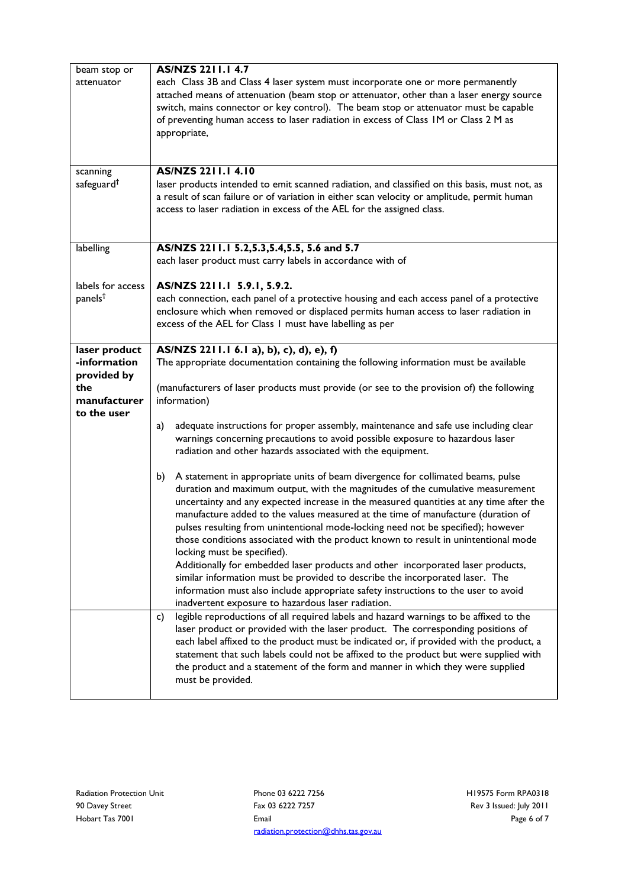| beam stop or           | AS/NZS 2211.1 4.7                                                                             |  |  |  |
|------------------------|-----------------------------------------------------------------------------------------------|--|--|--|
|                        |                                                                                               |  |  |  |
| attenuator             | each Class 3B and Class 4 laser system must incorporate one or more permanently               |  |  |  |
|                        | attached means of attenuation (beam stop or attenuator, other than a laser energy source      |  |  |  |
|                        | switch, mains connector or key control). The beam stop or attenuator must be capable          |  |  |  |
|                        | of preventing human access to laser radiation in excess of Class IM or Class 2 M as           |  |  |  |
|                        | appropriate,                                                                                  |  |  |  |
|                        |                                                                                               |  |  |  |
|                        |                                                                                               |  |  |  |
| scanning               | AS/NZS 2211.1 4.10                                                                            |  |  |  |
| safeguard <sup>†</sup> |                                                                                               |  |  |  |
|                        | laser products intended to emit scanned radiation, and classified on this basis, must not, as |  |  |  |
|                        | a result of scan failure or of variation in either scan velocity or amplitude, permit human   |  |  |  |
|                        | access to laser radiation in excess of the AEL for the assigned class.                        |  |  |  |
|                        |                                                                                               |  |  |  |
|                        |                                                                                               |  |  |  |
| labelling              | AS/NZS 2211.1 5.2,5.3,5.4,5.5, 5.6 and 5.7                                                    |  |  |  |
|                        | each laser product must carry labels in accordance with of                                    |  |  |  |
|                        |                                                                                               |  |  |  |
| labels for access      | AS/NZS 2211.1 5.9.1, 5.9.2.                                                                   |  |  |  |
| panels <sup>†</sup>    | each connection, each panel of a protective housing and each access panel of a protective     |  |  |  |
|                        | enclosure which when removed or displaced permits human access to laser radiation in          |  |  |  |
|                        | excess of the AEL for Class 1 must have labelling as per                                      |  |  |  |
|                        |                                                                                               |  |  |  |
| laser product          | AS/NZS 2211.1 6.1 a), b), c), d), e), f)                                                      |  |  |  |
| -information           | The appropriate documentation containing the following information must be available          |  |  |  |
| provided by            |                                                                                               |  |  |  |
| the                    | (manufacturers of laser products must provide (or see to the provision of) the following      |  |  |  |
| manufacturer           | information)                                                                                  |  |  |  |
|                        |                                                                                               |  |  |  |
| to the user            |                                                                                               |  |  |  |
|                        | adequate instructions for proper assembly, maintenance and safe use including clear<br>a)     |  |  |  |
|                        | warnings concerning precautions to avoid possible exposure to hazardous laser                 |  |  |  |
|                        | radiation and other hazards associated with the equipment.                                    |  |  |  |
|                        |                                                                                               |  |  |  |
|                        | A statement in appropriate units of beam divergence for collimated beams, pulse<br>b)         |  |  |  |
|                        | duration and maximum output, with the magnitudes of the cumulative measurement                |  |  |  |
|                        | uncertainty and any expected increase in the measured quantities at any time after the        |  |  |  |
|                        | manufacture added to the values measured at the time of manufacture (duration of              |  |  |  |
|                        | pulses resulting from unintentional mode-locking need not be specified); however              |  |  |  |
|                        | those conditions associated with the product known to result in unintentional mode            |  |  |  |
|                        | locking must be specified).                                                                   |  |  |  |
|                        | Additionally for embedded laser products and other incorporated laser products,               |  |  |  |
|                        | similar information must be provided to describe the incorporated laser. The                  |  |  |  |
|                        |                                                                                               |  |  |  |
|                        | information must also include appropriate safety instructions to the user to avoid            |  |  |  |
|                        | inadvertent exposure to hazardous laser radiation.                                            |  |  |  |
|                        | legible reproductions of all required labels and hazard warnings to be affixed to the<br>C)   |  |  |  |
|                        | laser product or provided with the laser product. The corresponding positions of              |  |  |  |
|                        | each label affixed to the product must be indicated or, if provided with the product, a       |  |  |  |
|                        | statement that such labels could not be affixed to the product but were supplied with         |  |  |  |
|                        | the product and a statement of the form and manner in which they were supplied                |  |  |  |
|                        | must be provided.                                                                             |  |  |  |
|                        |                                                                                               |  |  |  |

Phone 03 6222 7256 Fax 03 6222 7257 Email radiation.protection@dhhs.tas.gov.au